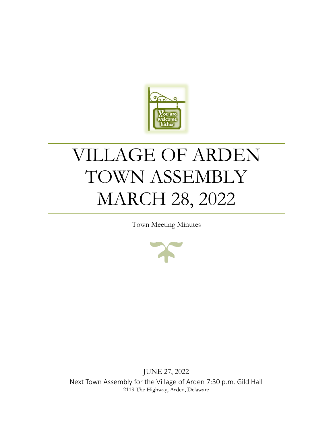

# VILLAGE OF ARDEN TOWN ASSEMBLY MARCH 28, 2022

Town Meeting Minutes



JUNE 27, 2022 Next Town Assembly for the Village of Arden 7:30 p.m. Gild Hall 2119 The Highway, Arden, Delaware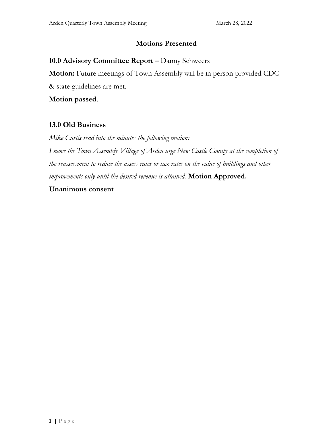## **Motions Presented**

## 10.0 Advisory Committee Report - Danny Schweers

**Motion:** Future meetings of Town Assembly will be in person provided CDC & state guidelines are met.

**Motion passed**.

## **13.0 Old Business**

*Mike Curtis read into the minutes the following motion: I move the Town Assembly Village of Arden urge New Castle County at the completion of the reassessment to reduce the assess rates or tax rates on the value of buildings and other improvements only until the desired revenue is attained.* **Motion Approved.** 

#### **Unanimous consent**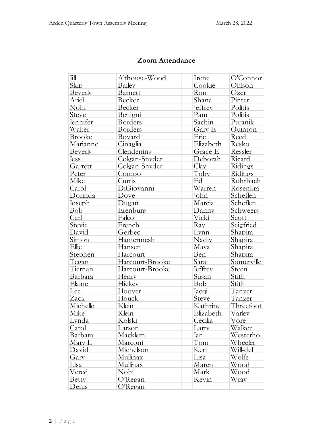# **Zoom Attendance**

| Ιill          | Althouse-Wood   | Irene          | O'Connor   |
|---------------|-----------------|----------------|------------|
| Skip          | Bailey          | Cookie         | Ohlson     |
| Beverly       | Barnett         | Ron            | Ozer       |
| Ariel         | Becker          | Shana          | Pinter     |
| Nohi          | Becker          | <b>leffrey</b> | Politis    |
| Steve         | Benigni         | Pam            | Politis    |
| Jennifer      | <b>Borders</b>  | Sachin         | Puranik    |
| Walter        | <b>Borders</b>  | Gary E         | Quinton    |
| <b>Brooke</b> | Bovard          | Eric           | Reed       |
| Marianne      | Cinaglia        | Elizabeth      | Resko      |
| Beverly       | Clendening      | Grace E        | Ressler    |
| <b>Jess</b>   | Colgan-Snyder   | Deborah        | Ricard     |
| Garrett       | Colgan-Snyder   | Clav           | Ridings    |
| Peter         | Compo           | Toby           | Ridings    |
| Mike          | Curtis          | Ed             | Rohrbach   |
| Carol         | DiGiovanni      | Warren         | Rosenkra   |
| Dorinda       | Dove            | John           | Scheflen   |
| Joseph        | Dugan           | Marcia         | Scheflen   |
| Bob           | Erenburg        | Danny          | Schweers   |
| Carl          | Falco           | Vicki          | Scott      |
| Stevie        | French          | Ray            | Seigfried  |
| David         | Gerbec          | Lynn           | Shapira    |
| Simon         | Hamermesh       | Nadiv          | Shapira    |
| Ellie         | Hansen          | Maya           | Shapira    |
| Stephen       | Harcourt        | Ben            | Shapira    |
| Tegan         | Harcourt-Brooke | Sara           | Somerville |
| Tiernan       | Harcourt-Brooke | <b>Jeffrey</b> | Steen      |
| Barbara       | Henry           | Susan          | Stith      |
| Elaine        | Hickey          | Bob            | Stith      |
| Lee           | Hoover          | Jacqi          | Tanzer     |
| Zack          | Houck           | Steve          | Tanzer     |
| Michelle      | Klein           | Kathrine       | Threefoot  |
| Mike          | Klein           | Elizabeth      | Varley     |
| Lvnda         | Kolski          | Cecilia        | Vore       |
| Carol         | Larson          | Larry          | Walker     |
| Barbara       | Macklem         | Jan            | Westerho   |
| Mary L        | Marconi         | Tom            | Wheeler    |
| David         | Michelson       | Keri           | Will-del   |
| Gary          | Mullinax        | Lisa           | Wolfe      |
| Lisa          | Mullinax        | Maren          | Wood       |
| Vered         | Nohi            | Mark           | Wood       |
| Betty         | $O$ 'Regan      | Kevin          | Wray       |
| Denis         | O'Regan         |                |            |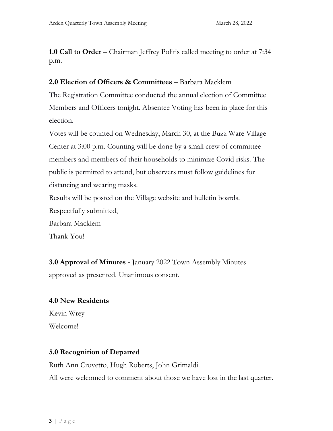**1.0 Call to Order** – Chairman Jeffrey Politis called meeting to order at 7:34 p.m.

## **2.0 Election of Officers & Committees –** Barbara Macklem

The Registration Committee conducted the annual election of Committee Members and Officers tonight. Absentee Voting has been in place for this election.

Votes will be counted on Wednesday, March 30, at the Buzz Ware Village Center at 3:00 p.m. Counting will be done by a small crew of committee members and members of their households to minimize Covid risks. The public is permitted to attend, but observers must follow guidelines for distancing and wearing masks.

Results will be posted on the Village website and bulletin boards.

Respectfully submitted,

Barbara Macklem

Thank You!

**3.0 Approval of Minutes -** January 2022 Town Assembly Minutes approved as presented. Unanimous consent.

## **4.0 New Residents**

Kevin Wrey Welcome!

# **5.0 Recognition of Departed**

Ruth Ann Crovetto, Hugh Roberts, John Grimaldi.

All were welcomed to comment about those we have lost in the last quarter.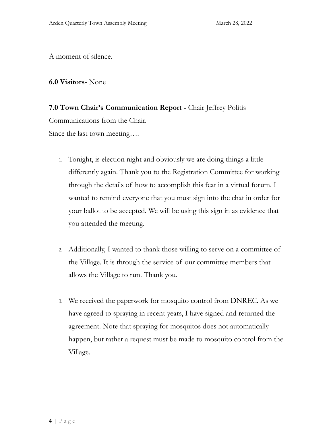A moment of silence.

## **6.0 Visitors-** None

**7.0 Town Chair's Communication Report -** Chair Jeffrey Politis Communications from the Chair. Since the last town meeting….

- 1. Tonight, is election night and obviously we are doing things a little differently again. Thank you to the Registration Committee for working through the details of how to accomplish this feat in a virtual forum. I wanted to remind everyone that you must sign into the chat in order for your ballot to be accepted. We will be using this sign in as evidence that you attended the meeting.
- 2. Additionally, I wanted to thank those willing to serve on a committee of the Village. It is through the service of our committee members that allows the Village to run. Thank you.
- 3. We received the paperwork for mosquito control from DNREC. As we have agreed to spraying in recent years, I have signed and returned the agreement. Note that spraying for mosquitos does not automatically happen, but rather a request must be made to mosquito control from the Village.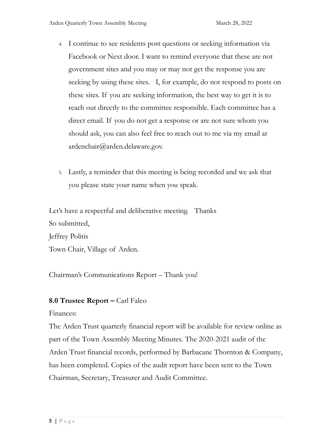- 4. I continue to see residents post questions or seeking information via Facebook or Next door. I want to remind everyone that these are not government sites and you may or may not get the response you are seeking by using these sites. I, for example, do not respond to posts on these sites. If you are seeking information, the best way to get it is to reach out directly to the committee responsible. Each committee has a direct email. If you do not get a response or are not sure whom you should ask, you can also feel free to reach out to me via my email at ardenchair@arden.delaware.gov.
- 5. Lastly, a reminder that this meeting is being recorded and we ask that you please state your name when you speak.

Let's have a respectful and deliberative meeting. Thanks So submitted, Jeffrey Politis Town Chair, Village of Arden.

Chairman's Communications Report – Thank you!

# **8.0 Trustee Report –** Carl Falco

## Finances:

The Arden Trust quarterly financial report will be available for review online as part of the Town Assembly Meeting Minutes. The 2020-2021 audit of the Arden Trust financial records, performed by Barbacane Thornton & Company, has been completed. Copies of the audit report have been sent to the Town Chairman, Secretary, Treasurer and Audit Committee.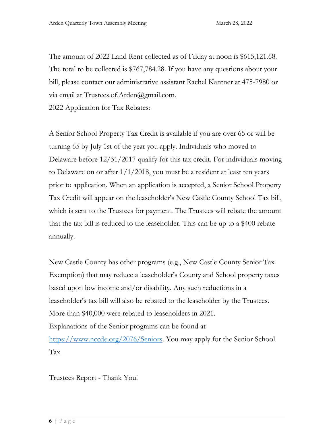The amount of 2022 Land Rent collected as of Friday at noon is \$615,121.68. The total to be collected is \$767,784.28. If you have any questions about your bill, please contact our administrative assistant Rachel Kantner at 475-7980 or via email at Trustees.of.Arden@gmail.com.

2022 Application for Tax Rebates:

A Senior School Property Tax Credit is available if you are over 65 or will be turning 65 by July 1st of the year you apply. Individuals who moved to Delaware before 12/31/2017 qualify for this tax credit. For individuals moving to Delaware on or after  $1/1/2018$ , you must be a resident at least ten years prior to application. When an application is accepted, a Senior School Property Tax Credit will appear on the leaseholder's New Castle County School Tax bill, which is sent to the Trustees for payment. The Trustees will rebate the amount that the tax bill is reduced to the leaseholder. This can be up to a \$400 rebate annually.

New Castle County has other programs (e.g., New Castle County Senior Tax Exemption) that may reduce a leaseholder's County and School property taxes based upon low income and/or disability. Any such reductions in a leaseholder's tax bill will also be rebated to the leaseholder by the Trustees. More than \$40,000 were rebated to leaseholders in 2021. Explanations of the Senior programs can be found at [https://www.nccde.org/2076/Seniors.](https://www.nccde.org/2076/Seniors) You may apply for the Senior School Tax

Trustees Report - Thank You!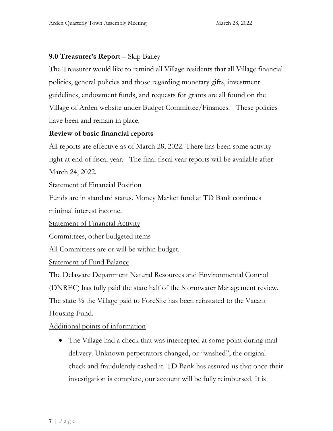# **9.0 Treasurer's Report** – Skip Bailey

The Treasurer would like to remind all Village residents that all Village financial policies, general policies and those regarding monetary gifts, investment guidelines, endowment funds, and requests for grants are all found on the Village of Arden website under Budget Committee/Finances. These policies have been and remain in place.

## **Review of basic financial reports**

All reports are effective as of March 28, 2022. There has been some activity right at end of fiscal year. The final fiscal year reports will be available after March 24, 2022.

Statement of Financial Position

Funds are in standard status. Money Market fund at TD Bank continues minimal interest income.

Statement of Financial Activity

Committees, other budgeted items

All Committees are or will be within budget.

Statement of Fund Balance

The Delaware Department Natural Resources and Environmental Control (DNREC) has fully paid the state half of the Stormwater Management review. The state ½ the Village paid to ForeSite has been reinstated to the Vacant Housing Fund.

Additional points of information

• The Village had a check that was intercepted at some point during mail delivery. Unknown perpetrators changed, or "washed", the original check and fraudulently cashed it. TD Bank has assured us that once their investigation is complete, our account will be fully reimbursed. It is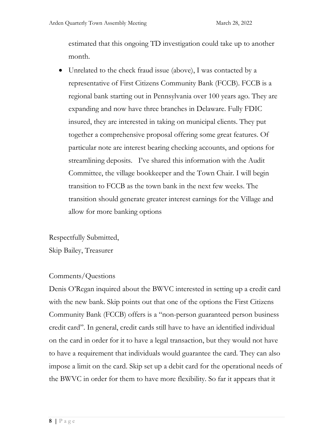estimated that this ongoing TD investigation could take up to another month.

• Unrelated to the check fraud issue (above), I was contacted by a representative of First Citizens Community Bank (FCCB). FCCB is a regional bank starting out in Pennsylvania over 100 years ago. They are expanding and now have three branches in Delaware. Fully FDIC insured, they are interested in taking on municipal clients. They put together a comprehensive proposal offering some great features. Of particular note are interest bearing checking accounts, and options for streamlining deposits. I've shared this information with the Audit Committee, the village bookkeeper and the Town Chair. I will begin transition to FCCB as the town bank in the next few weeks. The transition should generate greater interest earnings for the Village and allow for more banking options

Respectfully Submitted,

Skip Bailey, Treasurer

## Comments/Questions

Denis O'Regan inquired about the BWVC interested in setting up a credit card with the new bank. Skip points out that one of the options the First Citizens Community Bank (FCCB) offers is a "non-person guaranteed person business credit card". In general, credit cards still have to have an identified individual on the card in order for it to have a legal transaction, but they would not have to have a requirement that individuals would guarantee the card. They can also impose a limit on the card. Skip set up a debit card for the operational needs of the BWVC in order for them to have more flexibility. So far it appears that it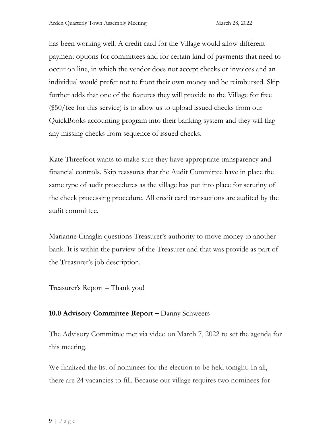has been working well. A credit card for the Village would allow different payment options for committees and for certain kind of payments that need to occur on line, in which the vendor does not accept checks or invoices and an individual would prefer not to front their own money and be reimbursed. Skip further adds that one of the features they will provide to the Village for free (\$50/fee for this service) is to allow us to upload issued checks from our QuickBooks accounting program into their banking system and they will flag any missing checks from sequence of issued checks.

Kate Threefoot wants to make sure they have appropriate transparency and financial controls. Skip reassures that the Audit Committee have in place the same type of audit procedures as the village has put into place for scrutiny of the check processing procedure. All credit card transactions are audited by the audit committee.

Marianne Cinaglia questions Treasurer's authority to move money to another bank. It is within the purview of the Treasurer and that was provide as part of the Treasurer's job description.

Treasurer's Report – Thank you!

# **10.0 Advisory Committee Report –** Danny Schweers

The Advisory Committee met via video on March 7, 2022 to set the agenda for this meeting.

We finalized the list of nominees for the election to be held tonight. In all, there are 24 vacancies to fill. Because our village requires two nominees for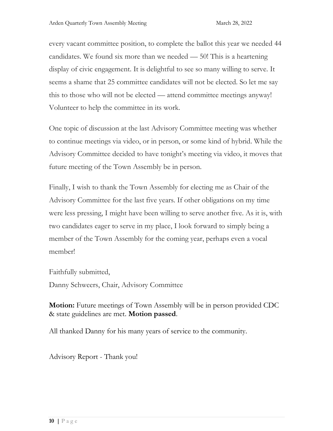every vacant committee position, to complete the ballot this year we needed 44 candidates. We found six more than we needed — 50! This is a heartening display of civic engagement. It is delightful to see so many willing to serve. It seems a shame that 25 committee candidates will not be elected. So let me say this to those who will not be elected — attend committee meetings anyway! Volunteer to help the committee in its work.

One topic of discussion at the last Advisory Committee meeting was whether to continue meetings via video, or in person, or some kind of hybrid. While the Advisory Committee decided to have tonight's meeting via video, it moves that future meeting of the Town Assembly be in person.

Finally, I wish to thank the Town Assembly for electing me as Chair of the Advisory Committee for the last five years. If other obligations on my time were less pressing, I might have been willing to serve another five. As it is, with two candidates eager to serve in my place, I look forward to simply being a member of the Town Assembly for the coming year, perhaps even a vocal member!

Faithfully submitted,

Danny Schweers, Chair, Advisory Committee

**Motion:** Future meetings of Town Assembly will be in person provided CDC & state guidelines are met. **Motion passed**.

All thanked Danny for his many years of service to the community.

Advisory Report - Thank you!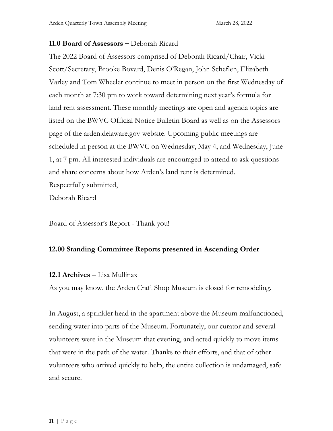## **11.0 Board of Assessors –** Deborah Ricard

The 2022 Board of Assessors comprised of Deborah Ricard/Chair, Vicki Scott/Secretary, Brooke Bovard, Denis O'Regan, John Scheflen, Elizabeth Varley and Tom Wheeler continue to meet in person on the first Wednesday of each month at 7:30 pm to work toward determining next year's formula for land rent assessment. These monthly meetings are open and agenda topics are listed on the BWVC Official Notice Bulletin Board as well as on the Assessors page of the arden.delaware.gov website. Upcoming public meetings are scheduled in person at the BWVC on Wednesday, May 4, and Wednesday, June 1, at 7 pm. All interested individuals are encouraged to attend to ask questions and share concerns about how Arden's land rent is determined. Respectfully submitted,

Deborah Ricard

Board of Assessor's Report - Thank you!

# **12.00 Standing Committee Reports presented in Ascending Order**

## **12.1 Archives –** Lisa Mullinax

As you may know, the Arden Craft Shop Museum is closed for remodeling.

In August, a sprinkler head in the apartment above the Museum malfunctioned, sending water into parts of the Museum. Fortunately, our curator and several volunteers were in the Museum that evening, and acted quickly to move items that were in the path of the water. Thanks to their efforts, and that of other volunteers who arrived quickly to help, the entire collection is undamaged, safe and secure.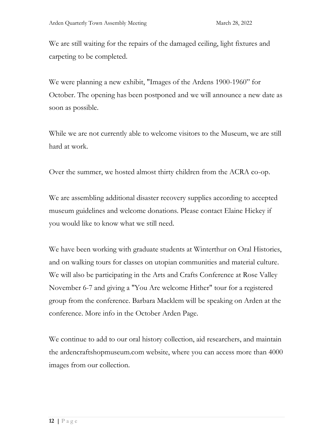We are still waiting for the repairs of the damaged ceiling, light fixtures and carpeting to be completed.

We were planning a new exhibit, "Images of the Ardens 1900-1960" for October. The opening has been postponed and we will announce a new date as soon as possible.

While we are not currently able to welcome visitors to the Museum, we are still hard at work.

Over the summer, we hosted almost thirty children from the ACRA co-op.

We are assembling additional disaster recovery supplies according to accepted museum guidelines and welcome donations. Please contact Elaine Hickey if you would like to know what we still need.

We have been working with graduate students at Winterthur on Oral Histories, and on walking tours for classes on utopian communities and material culture. We will also be participating in the Arts and Crafts Conference at Rose Valley November 6-7 and giving a "You Are welcome Hither" tour for a registered group from the conference. Barbara Macklem will be speaking on Arden at the conference. More info in the October Arden Page.

We continue to add to our oral history collection, aid researchers, and maintain the ardencraftshopmuseum.com website, where you can access more than 4000 images from our collection.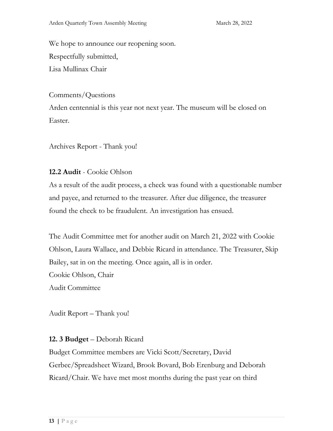We hope to announce our reopening soon. Respectfully submitted, Lisa Mullinax Chair

Comments/Questions

Arden centennial is this year not next year. The museum will be closed on Easter.

Archives Report - Thank you!

## **12.2 Audit** - Cookie Ohlson

As a result of the audit process, a check was found with a questionable number and payee, and returned to the treasurer. After due diligence, the treasurer found the check to be fraudulent. An investigation has ensued.

The Audit Committee met for another audit on March 21, 2022 with Cookie Ohlson, Laura Wallace, and Debbie Ricard in attendance. The Treasurer, Skip Bailey, sat in on the meeting. Once again, all is in order. Cookie Ohlson, Chair Audit Committee

Audit Report – Thank you!

**12. 3 Budget** – Deborah Ricard

Budget Committee members are Vicki Scott/Secretary, David Gerbec/Spreadsheet Wizard, Brook Bovard, Bob Erenburg and Deborah Ricard/Chair. We have met most months during the past year on third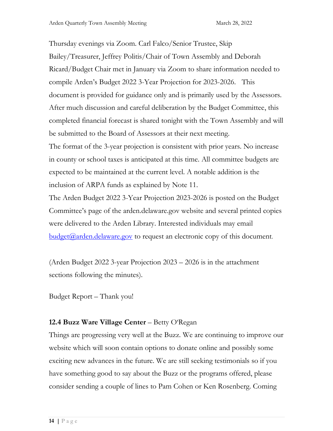Thursday evenings via Zoom. Carl Falco/Senior Trustee, Skip Bailey/Treasurer, Jeffrey Politis/Chair of Town Assembly and Deborah Ricard/Budget Chair met in January via Zoom to share information needed to compile Arden's Budget 2022 3-Year Projection for 2023-2026. This document is provided for guidance only and is primarily used by the Assessors. After much discussion and careful deliberation by the Budget Committee, this completed financial forecast is shared tonight with the Town Assembly and will be submitted to the Board of Assessors at their next meeting. The format of the 3-year projection is consistent with prior years. No increase in county or school taxes is anticipated at this time. All committee budgets are expected to be maintained at the current level. A notable addition is the inclusion of ARPA funds as explained by Note 11.

The Arden Budget 2022 3-Year Projection 2023-2026 is posted on the Budget Committee's page of the arden.delaware.gov website and several printed copies were delivered to the Arden Library. Interested individuals may email  $b$ udget $(a)$ arden.delaware.gov to request an electronic copy of this document.

(Arden Budget 2022 3-year Projection 2023 – 2026 is in the attachment sections following the minutes).

Budget Report – Thank you!

# **12.4 Buzz Ware Village Center** – Betty O'Regan

Things are progressing very well at the Buzz. We are continuing to improve our website which will soon contain options to donate online and possibly some exciting new advances in the future. We are still seeking testimonials so if you have something good to say about the Buzz or the programs offered, please consider sending a couple of lines to Pam Cohen or Ken Rosenberg. Coming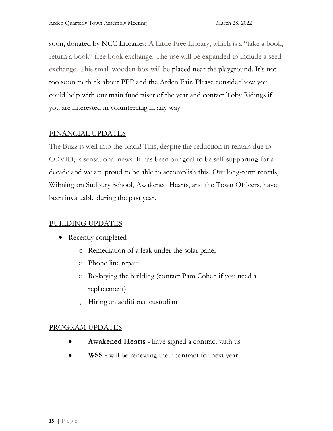soon, donated by NCC Libraries: A Little Free Library, which is a "take a book, return a book" free book exchange. The use will be expanded to include a seed exchange. This small wooden box will be placed near the playground. It's not too soon to think about PPP and the Arden Fair. Please consider how you could help with our main fundraiser of the year and contact Toby Ridings if you are interested in volunteering in any way.

# FINANCIAL UPDATES

The Buzz is well into the black! This, despite the reduction in rentals due to COVID, is sensational news. It has been our goal to be self-supporting for a decade and we are proud to be able to accomplish this. Our long-term rentals, Wilmington Sudbury School, Awakened Hearts, and the Town Officers, have been invaluable during the past year.

# BUILDING UPDATES

- Recently completed
	- o Remediation of a leak under the solar panel
	- o Phone line repair
	- o Re-keying the building (contact Pam Cohen if you need a replacement)
	- <sup>o</sup> Hiring an additional custodian

# PROGRAM UPDATES

- **Awakened Hearts -** have signed a contract with us
- **WSS -** will be renewing their contract for next year.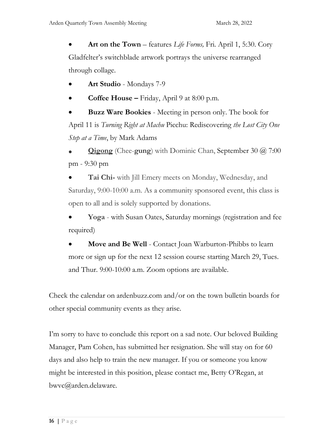• **Art on the Town** – features *Life Forms,* Fri. April 1, 5:30. Cory Gladfelter's switchblade artwork portrays the universe rearranged through collage.

- **Art Studio** Mondays 7-9
- **Coffee House –** Friday, April 9 at 8:00 p.m.

• **Buzz Ware Bookies** - Meeting in person only. The book for April 11 is *Turning Right at Machu* Picchu: Rediscovering *the Lost City One Step at a Time*, by Mark Adams

• **[Qigong](https://ardenbuzz.com/event/dominic-chan-qigong-2021-06-03/2021-09-30/)** (Chee-**gung**) with Dominic Chan, September 30 @ 7:00 pm - 9:30 pm

• **Tai Chi-** with Jill Emery meets on Monday, Wednesday, and Saturday, 9:00-10:00 a.m. As a community sponsored event, this class is open to all and is solely supported by donations.

• **Yoga** - with Susan Oates, Saturday mornings (registration and fee required)

**Move and Be Well** - Contact Joan Warburton-Phibbs to learn more or sign up for the next 12 session course starting March 29, Tues. and Thur. 9:00-10:00 a.m. Zoom options are available.

Check the calendar on ardenbuzz.com and/or on the town bulletin boards for other special community events as they arise.

I'm sorry to have to conclude this report on a sad note. Our beloved Building Manager, Pam Cohen, has submitted her resignation. She will stay on for 60 days and also help to train the new manager. If you or someone you know might be interested in this position, please contact me, Betty O'Regan, at bwvc@arden.delaware.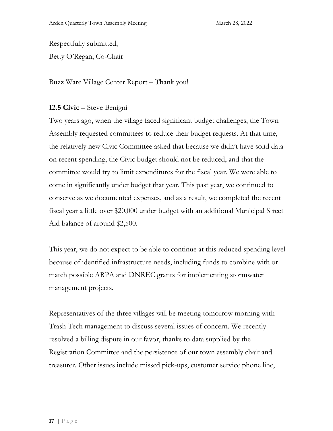Respectfully submitted, Betty O'Regan, Co-Chair

Buzz Ware Village Center Report – Thank you!

# **12.5 Civic** – Steve Benigni

Two years ago, when the village faced significant budget challenges, the Town Assembly requested committees to reduce their budget requests. At that time, the relatively new Civic Committee asked that because we didn't have solid data on recent spending, the Civic budget should not be reduced, and that the committee would try to limit expenditures for the fiscal year. We were able to come in significantly under budget that year. This past year, we continued to conserve as we documented expenses, and as a result, we completed the recent fiscal year a little over \$20,000 under budget with an additional Municipal Street Aid balance of around \$2,500.

This year, we do not expect to be able to continue at this reduced spending level because of identified infrastructure needs, including funds to combine with or match possible ARPA and DNREC grants for implementing stormwater management projects.

Representatives of the three villages will be meeting tomorrow morning with Trash Tech management to discuss several issues of concern. We recently resolved a billing dispute in our favor, thanks to data supplied by the Registration Committee and the persistence of our town assembly chair and treasurer. Other issues include missed pick-ups, customer service phone line,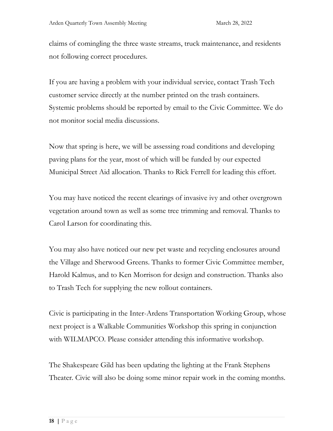claims of comingling the three waste streams, truck maintenance, and residents not following correct procedures.

If you are having a problem with your individual service, contact Trash Tech customer service directly at the number printed on the trash containers. Systemic problems should be reported by email to the Civic Committee. We do not monitor social media discussions.

Now that spring is here, we will be assessing road conditions and developing paving plans for the year, most of which will be funded by our expected Municipal Street Aid allocation. Thanks to Rick Ferrell for leading this effort.

You may have noticed the recent clearings of invasive ivy and other overgrown vegetation around town as well as some tree trimming and removal. Thanks to Carol Larson for coordinating this.

You may also have noticed our new pet waste and recycling enclosures around the Village and Sherwood Greens. Thanks to former Civic Committee member, Harold Kalmus, and to Ken Morrison for design and construction. Thanks also to Trash Tech for supplying the new rollout containers.

Civic is participating in the Inter-Ardens Transportation Working Group, whose next project is a Walkable Communities Workshop this spring in conjunction with WILMAPCO. Please consider attending this informative workshop.

The Shakespeare Gild has been updating the lighting at the Frank Stephens Theater. Civic will also be doing some minor repair work in the coming months.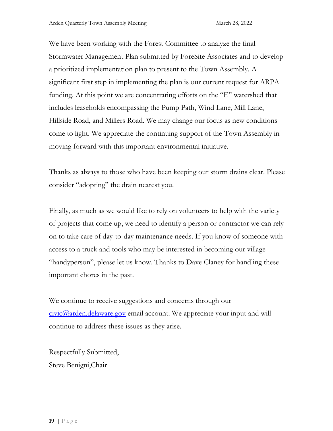We have been working with the Forest Committee to analyze the final Stormwater Management Plan submitted by ForeSite Associates and to develop a prioritized implementation plan to present to the Town Assembly. A significant first step in implementing the plan is our current request for ARPA funding. At this point we are concentrating efforts on the "E" watershed that includes leaseholds encompassing the Pump Path, Wind Lane, Mill Lane, Hillside Road, and Millers Road. We may change our focus as new conditions come to light. We appreciate the continuing support of the Town Assembly in moving forward with this important environmental initiative.

Thanks as always to those who have been keeping our storm drains clear. Please consider "adopting" the drain nearest you.

Finally, as much as we would like to rely on volunteers to help with the variety of projects that come up, we need to identify a person or contractor we can rely on to take care of day-to-day maintenance needs. If you know of someone with access to a truck and tools who may be interested in becoming our village "handyperson", please let us know. Thanks to Dave Claney for handling these important chores in the past.

We continue to receive suggestions and concerns through our [civic@arden.delaware.gov](mailto:civic@arden.delaware.gov) email account. We appreciate your input and will continue to address these issues as they arise.

Respectfully Submitted, Steve Benigni,Chair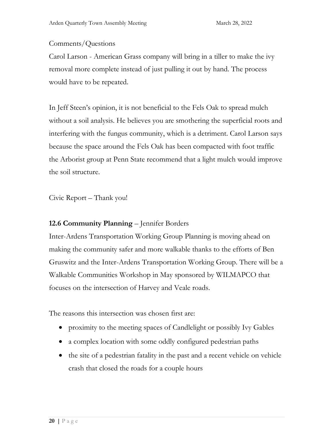# Comments/Questions

Carol Larson - American Grass company will bring in a tiller to make the ivy removal more complete instead of just pulling it out by hand. The process would have to be repeated.

In Jeff Steen's opinion, it is not beneficial to the Fels Oak to spread mulch without a soil analysis. He believes you are smothering the superficial roots and interfering with the fungus community, which is a detriment. Carol Larson says because the space around the Fels Oak has been compacted with foot traffic the Arborist group at Penn State recommend that a light mulch would improve the soil structure.

Civic Report – Thank you!

# **12.6 Community Planning** – Jennifer Borders

Inter-Ardens Transportation Working Group Planning is moving ahead on making the community safer and more walkable thanks to the efforts of Ben Gruswitz and the Inter-Ardens Transportation Working Group. There will be a Walkable Communities Workshop in May sponsored by WILMAPCO that focuses on the intersection of Harvey and Veale roads.

The reasons this intersection was chosen first are:

- proximity to the meeting spaces of Candlelight or possibly Ivy Gables
- a complex location with some oddly configured pedestrian paths
- the site of a pedestrian fatality in the past and a recent vehicle on vehicle crash that closed the roads for a couple hours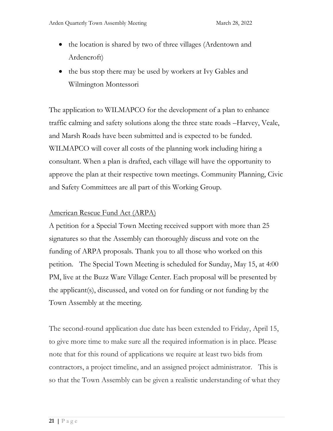- the location is shared by two of three villages (Ardentown and Ardencroft)
- the bus stop there may be used by workers at Ivy Gables and Wilmington Montessori

The application to WILMAPCO for the development of a plan to enhance traffic calming and safety solutions along the three state roads –Harvey, Veale, and Marsh Roads have been submitted and is expected to be funded. WILMAPCO will cover all costs of the planning work including hiring a consultant. When a plan is drafted, each village will have the opportunity to approve the plan at their respective town meetings. Community Planning, Civic and Safety Committees are all part of this Working Group.

## American Rescue Fund Act (ARPA)

A petition for a Special Town Meeting received support with more than 25 signatures so that the Assembly can thoroughly discuss and vote on the funding of ARPA proposals. Thank you to all those who worked on this petition. The Special Town Meeting is scheduled for Sunday, May 15, at 4:00 PM, live at the Buzz Ware Village Center. Each proposal will be presented by the applicant(s), discussed, and voted on for funding or not funding by the Town Assembly at the meeting.

The second-round application due date has been extended to Friday, April 15, to give more time to make sure all the required information is in place. Please note that for this round of applications we require at least two bids from contractors, a project timeline, and an assigned project administrator. This is so that the Town Assembly can be given a realistic understanding of what they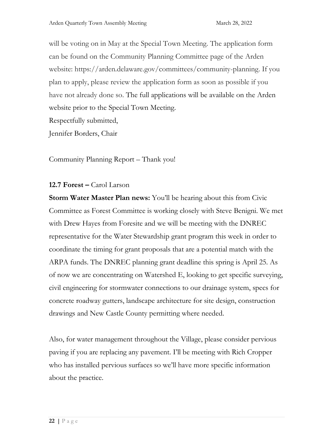will be voting on in May at the Special Town Meeting. The application form can be found on the Community Planning Committee page of the Arden website: https://arden.delaware.gov/committees/community-planning. If you plan to apply, please review the application form as soon as possible if you have not already done so. The full applications will be available on the Arden website prior to the Special Town Meeting.

Respectfully submitted,

Jennifer Borders, Chair

Community Planning Report – Thank you!

# **12.7 Forest –** Carol Larson

**Storm Water Master Plan news:** You'll be hearing about this from Civic Committee as Forest Committee is working closely with Steve Benigni. We met with Drew Hayes from Foresite and we will be meeting with the DNREC representative for the Water Stewardship grant program this week in order to coordinate the timing for grant proposals that are a potential match with the ARPA funds. The DNREC planning grant deadline this spring is April 25. As of now we are concentrating on Watershed E, looking to get specific surveying, civil engineering for stormwater connections to our drainage system, specs for concrete roadway gutters, landscape architecture for site design, construction drawings and New Castle County permitting where needed.

Also, for water management throughout the Village, please consider pervious paving if you are replacing any pavement. I'll be meeting with Rich Cropper who has installed pervious surfaces so we'll have more specific information about the practice.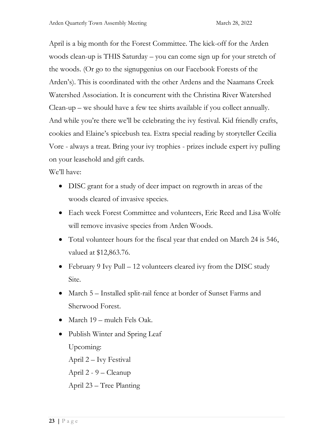April is a big month for the Forest Committee. The kick-off for the Arden woods clean-up is THIS Saturday – you can come sign up for your stretch of the woods. (Or go to the signupgenius on our Facebook Forests of the Arden's). This is coordinated with the other Ardens and the Naamans Creek Watershed Association. It is concurrent with the Christina River Watershed Clean-up – we should have a few tee shirts available if you collect annually. And while you're there we'll be celebrating the ivy festival. Kid friendly crafts, cookies and Elaine's spicebush tea. Extra special reading by storyteller Cecilia Vore - always a treat. Bring your ivy trophies - prizes include expert ivy pulling on your leasehold and gift cards.

We'll have:

- DISC grant for a study of deer impact on regrowth in areas of the woods cleared of invasive species.
- Each week Forest Committee and volunteers, Eric Reed and Lisa Wolfe will remove invasive species from Arden Woods.
- Total volunteer hours for the fiscal year that ended on March 24 is 546, valued at \$12,863.76.
- February 9 Ivy Pull 12 volunteers cleared ivy from the DISC study Site.
- March 5 Installed split-rail fence at border of Sunset Farms and Sherwood Forest.
- March 19 mulch Fels Oak.
- Publish Winter and Spring Leaf Upcoming: April 2 – Ivy Festival
	- April 2 9 Cleanup
	- April 23 Tree Planting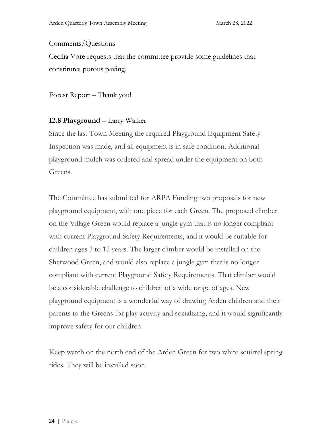## Comments/Questions

Cecilia Vore requests that the committee provide some guidelines that constitutes porous paving.

Forest Report – Thank you!

# **12.8 Playground** – Larry Walker

Since the last Town Meeting the required Playground Equipment Safety Inspection was made, and all equipment is in safe condition. Additional playground mulch was ordered and spread under the equipment on both Greens.

The Committee has submitted for ARPA Funding two proposals for new playground equipment, with one piece for each Green. The proposed climber on the Village Green would replace a jungle gym that is no longer compliant with current Playground Safety Requirements, and it would be suitable for children ages 3 to 12 years. The larger climber would be installed on the Sherwood Green, and would also replace a jungle gym that is no longer compliant with current Playground Safety Requirements. That climber would be a considerable challenge to children of a wide range of ages. New playground equipment is a wonderful way of drawing Arden children and their parents to the Greens for play activity and socializing, and it would significantly improve safety for our children.

Keep watch on the north end of the Arden Green for two white squirrel spring rides. They will be installed soon.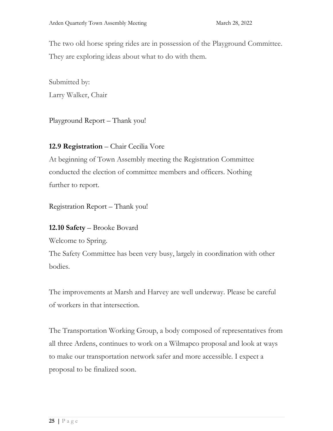The two old horse spring rides are in possession of the Playground Committee. They are exploring ideas about what to do with them.

Submitted by: Larry Walker, Chair

Playground Report – Thank you!

# **12.9 Registration** – Chair Cecilia Vore

At beginning of Town Assembly meeting the Registration Committee conducted the election of committee members and officers. Nothing further to report.

Registration Report – Thank you!

# **12.10 Safety** – Brooke Bovard

Welcome to Spring.

The Safety Committee has been very busy, largely in coordination with other bodies.

The improvements at Marsh and Harvey are well underway. Please be careful of workers in that intersection.

The Transportation Working Group, a body composed of representatives from all three Ardens, continues to work on a Wilmapco proposal and look at ways to make our transportation network safer and more accessible. I expect a proposal to be finalized soon.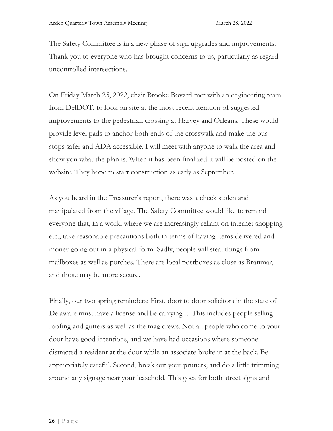The Safety Committee is in a new phase of sign upgrades and improvements. Thank you to everyone who has brought concerns to us, particularly as regard uncontrolled intersections.

On Friday March 25, 2022, chair Brooke Bovard met with an engineering team from DelDOT, to look on site at the most recent iteration of suggested improvements to the pedestrian crossing at Harvey and Orleans. These would provide level pads to anchor both ends of the crosswalk and make the bus stops safer and ADA accessible. I will meet with anyone to walk the area and show you what the plan is. When it has been finalized it will be posted on the website. They hope to start construction as early as September.

As you heard in the Treasurer's report, there was a check stolen and manipulated from the village. The Safety Committee would like to remind everyone that, in a world where we are increasingly reliant on internet shopping etc., take reasonable precautions both in terms of having items delivered and money going out in a physical form. Sadly, people will steal things from mailboxes as well as porches. There are local postboxes as close as Branmar, and those may be more secure.

Finally, our two spring reminders: First, door to door solicitors in the state of Delaware must have a license and be carrying it. This includes people selling roofing and gutters as well as the mag crews. Not all people who come to your door have good intentions, and we have had occasions where someone distracted a resident at the door while an associate broke in at the back. Be appropriately careful. Second, break out your pruners, and do a little trimming around any signage near your leasehold. This goes for both street signs and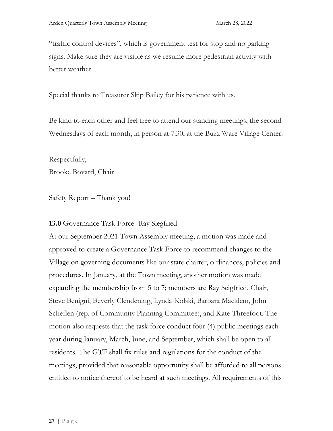"traffic control devices", which is government test for stop and no parking signs. Make sure they are visible as we resume more pedestrian activity with better weather.

Special thanks to Treasurer Skip Bailey for his patience with us.

Be kind to each other and feel free to attend our standing meetings, the second Wednesdays of each month, in person at 7:30, at the Buzz Ware Village Center.

Respectfully, Brooke Bovard, Chair

Safety Report – Thank you!

# **13.0** Governance Task Force -Ray Siegfried

At our September 2021 Town Assembly meeting, a motion was made and approved to create a Governance Task Force to recommend changes to the Village on governing documents like our state charter, ordinances, policies and procedures. In January, at the Town meeting, another motion was made expanding the membership from 5 to 7; members are Ray Seigfried, Chair, Steve Benigni, Beverly Clendening, Lynda Kolski, Barbara Macklem, John Scheflen (rep. of Community Planning Committee), and Kate Threefoot. The motion also requests that the task force conduct four (4) public meetings each year during January, March, June, and September, which shall be open to all residents. The GTF shall fix rules and regulations for the conduct of the meetings, provided that reasonable opportunity shall be afforded to all persons entitled to notice thereof to be heard at such meetings. All requirements of this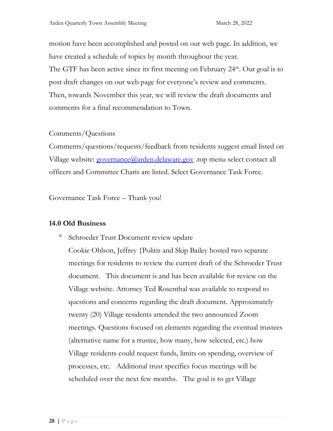motion have been accomplished and posted on our web page. In addition, we have created a schedule of topics by month throughout the year. The GTF has been active since its first meeting on February  $24<sup>th</sup>$ . Our goal is to post draft changes on our web page for everyone's review and comments. Then, towards November this year, we will review the draft documents and comments for a final recommendation to Town.

## Comments/Questions

Comments/questions/requests/feedback from residents suggest email listed on Village website: [governance@arden.delaware.gov](mailto:governance@arden.delaware.gov) top menu select contact all officers and Committee Charis are listed. Select Governance Task Force.

Governance Task Force – Thank you!

## **14.0 Old Business**

<sup>o</sup> Schroeder Trust Document review update

Cookie Ohlson, Jeffrey {Politis and Skip Bailey hosted two separate meetings for residents to review the current draft of the Schroeder Trust document. This document is and has been available for review on the Village website. Attorney Ted Rosenthal was available to respond to questions and concerns regarding the draft document. Approximately twenty (20) Village residents attended the two announced Zoom meetings. Questions focused on elements regarding the eventual trustees (alternative name for a trustee, how many, how selected, etc.) how Village residents could request funds, limits on spending, overview of processes, etc. Additional trust specifics focus meetings will be scheduled over the next few months. The goal is to get Village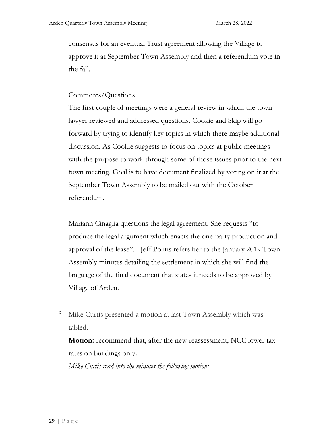consensus for an eventual Trust agreement allowing the Village to approve it at September Town Assembly and then a referendum vote in the fall.

## Comments/Questions

The first couple of meetings were a general review in which the town lawyer reviewed and addressed questions. Cookie and Skip will go forward by trying to identify key topics in which there maybe additional discussion. As Cookie suggests to focus on topics at public meetings with the purpose to work through some of those issues prior to the next town meeting. Goal is to have document finalized by voting on it at the September Town Assembly to be mailed out with the October referendum.

Mariann Cinaglia questions the legal agreement. She requests "to produce the legal argument which enacts the one-party production and approval of the lease". Jeff Politis refers her to the January 2019 Town Assembly minutes detailing the settlement in which she will find the language of the final document that states it needs to be approved by Village of Arden.

<sup>o</sup> Mike Curtis presented a motion at last Town Assembly which was tabled.

**Motion:** recommend that, after the new reassessment, NCC lower tax rates on buildings only**.**

*Mike Curtis read into the minutes the following motion:*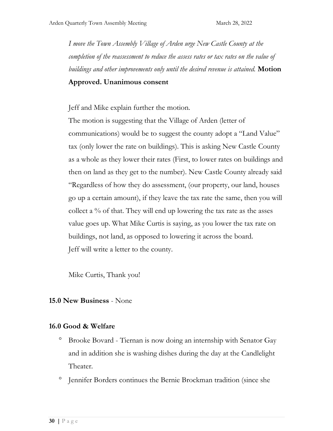*I move the Town Assembly Village of Arden urge New Castle County at the completion of the reassessment to reduce the assess rates or tax rates on the value of buildings and other improvements only until the desired revenue is attained.* **Motion** 

#### **Approved. Unanimous consent**

Jeff and Mike explain further the motion.

The motion is suggesting that the Village of Arden (letter of communications) would be to suggest the county adopt a "Land Value" tax (only lower the rate on buildings). This is asking New Castle County as a whole as they lower their rates (First, to lower rates on buildings and then on land as they get to the number). New Castle County already said "Regardless of how they do assessment, (our property, our land, houses go up a certain amount), if they leave the tax rate the same, then you will collect a % of that. They will end up lowering the tax rate as the asses value goes up. What Mike Curtis is saying, as you lower the tax rate on buildings, not land, as opposed to lowering it across the board. Jeff will write a letter to the county.

Mike Curtis, Thank you!

## **15.0 New Business** - None

## **16.0 Good & Welfare**

- Brooke Bovard Tiernan is now doing an internship with Senator Gay and in addition she is washing dishes during the day at the Candlelight Theater.
- <sup>o</sup> Jennifer Borders continues the Bernie Brockman tradition (since she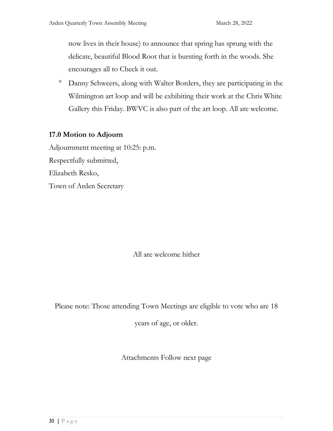now lives in their house) to announce that spring has sprung with the delicate, beautiful Blood Root that is bursting forth in the woods. She encourages all to Check it out.

 Danny Schweers, along with Walter Borders, they are participating in the Wilmington art loop and will be exhibiting their work at the Chris White Gallery this Friday. BWVC is also part of the art loop. All are welcome.

## **17.0 Motion to Adjourn**

Adjournment meeting at 10:25: p.m. Respectfully submitted, Elizabeth Resko, Town of Arden Secretary

All are welcome hither

Please note: Those attending Town Meetings are eligible to vote who are 18

years of age, or older.

Attachments Follow next page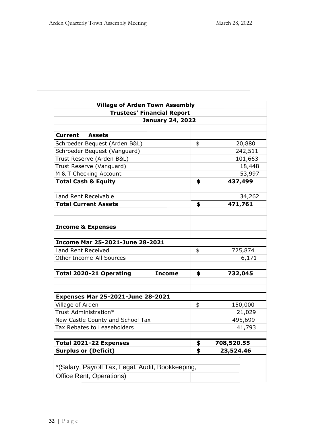| <b>Village of Arden Town Assembly</b>             |    |            |  |  |  |
|---------------------------------------------------|----|------------|--|--|--|
| <b>Trustees' Financial Report</b>                 |    |            |  |  |  |
| <b>January 24, 2022</b>                           |    |            |  |  |  |
| Current<br><b>Assets</b>                          |    |            |  |  |  |
| Schroeder Bequest (Arden B&L)                     | \$ | 20,880     |  |  |  |
| Schroeder Bequest (Vanguard)                      |    | 242,511    |  |  |  |
| Trust Reserve (Arden B&L)                         |    | 101,663    |  |  |  |
| Trust Reserve (Vanguard)                          |    | 18,448     |  |  |  |
| M & T Checking Account                            |    | 53,997     |  |  |  |
| <b>Total Cash &amp; Equity</b>                    | \$ | 437,499    |  |  |  |
|                                                   |    |            |  |  |  |
| Land Rent Receivable                              |    | 34,262     |  |  |  |
| <b>Total Current Assets</b>                       | \$ | 471,761    |  |  |  |
|                                                   |    |            |  |  |  |
|                                                   |    |            |  |  |  |
| <b>Income &amp; Expenses</b>                      |    |            |  |  |  |
|                                                   |    |            |  |  |  |
| <b>Income Mar 25-2021-June 28-2021</b>            |    |            |  |  |  |
| Land Rent Received                                | \$ | 725,874    |  |  |  |
| <b>Other Income-All Sources</b>                   |    | 6,171      |  |  |  |
| <b>Total 2020-21 Operating</b><br><b>Income</b>   | \$ | 732,045    |  |  |  |
|                                                   |    |            |  |  |  |
|                                                   |    |            |  |  |  |
| <b>Expenses Mar 25-2021-June 28-2021</b>          |    |            |  |  |  |
| Village of Arden                                  | \$ | 150,000    |  |  |  |
| Trust Administration*                             |    | 21,029     |  |  |  |
| New Castle County and School Tax                  |    | 495,699    |  |  |  |
| Tax Rebates to Leaseholders                       |    | 41,793     |  |  |  |
| Total 2021-22 Expenses                            | \$ | 708,520.55 |  |  |  |
| <b>Surplus or (Deficit)</b>                       | \$ | 23,524.46  |  |  |  |
|                                                   |    |            |  |  |  |
| *(Salary, Payroll Tax, Legal, Audit, Bookkeeping, |    |            |  |  |  |
| Office Rent, Operations)                          |    |            |  |  |  |
|                                                   |    |            |  |  |  |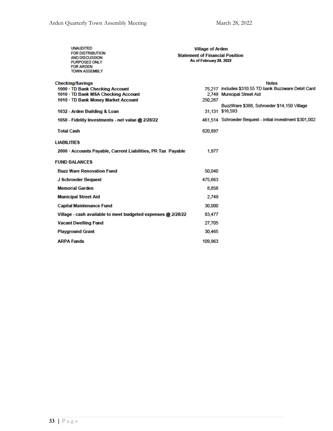| <b>UNAUDITED</b><br><b>FOR DISTRIBUTION</b><br><b>AND DISCUSSION</b><br><b>PURPOSES ONLY</b><br><b>FOR ARDEN</b><br><b>TOWN ASSEMBLY</b> | <b>Village of Arden</b><br><b>Statement of Financial Position</b><br>As of February 28, 2022 |                                                          |  |  |  |
|------------------------------------------------------------------------------------------------------------------------------------------|----------------------------------------------------------------------------------------------|----------------------------------------------------------|--|--|--|
| <b>Checking/Savings</b>                                                                                                                  |                                                                                              | <b>Notes</b>                                             |  |  |  |
| 1000 · TD Bank Checking Account                                                                                                          |                                                                                              | 75.217 includes \$310.55 TD bank Buzzware Debit Card     |  |  |  |
| 1010 • TD Bank MSA Checking Account<br>1010 · TD Bank Money Market Account                                                               | 250,287                                                                                      | 2,749 Municipal Street Aid                               |  |  |  |
|                                                                                                                                          |                                                                                              | BuzzWare \$388, Schroeder \$14,150 Village               |  |  |  |
| 1032 - Arden Building & Loan                                                                                                             |                                                                                              | 31,131 \$16,593                                          |  |  |  |
| 1050 - Fidelity Investments - net value @ 2/28/22                                                                                        |                                                                                              | 461.514 Schroeder Bequest - initial investment \$301,002 |  |  |  |
| <b>Total Cash</b>                                                                                                                        | 820,897                                                                                      |                                                          |  |  |  |
| <b>LIABILITIES</b>                                                                                                                       |                                                                                              |                                                          |  |  |  |
| 2000 · Accounts Payable, Current Liabilities, PR Tax Payable                                                                             | 1.977                                                                                        |                                                          |  |  |  |
| <b>FUND BALANCES</b>                                                                                                                     |                                                                                              |                                                          |  |  |  |
| <b>Buzz Ware Renovation Fund</b>                                                                                                         | 50,040                                                                                       |                                                          |  |  |  |
| J Schroeder Bequest                                                                                                                      | 475,663                                                                                      |                                                          |  |  |  |
| <b>Memorial Garden</b>                                                                                                                   | 8,858                                                                                        |                                                          |  |  |  |
| <b>Municipal Street Aid</b>                                                                                                              | 2.749                                                                                        |                                                          |  |  |  |
| <b>Capital Maintenance Fund</b>                                                                                                          | 30,000                                                                                       |                                                          |  |  |  |
| Village - cash available to meet budgeted expenses @ 2/28/22                                                                             | 83,477                                                                                       |                                                          |  |  |  |
| <b>Vacant Dwelling Fund</b>                                                                                                              | 27,705                                                                                       |                                                          |  |  |  |
| <b>Playground Grant</b>                                                                                                                  | 30,465                                                                                       |                                                          |  |  |  |
| <b>ARPA Funds</b>                                                                                                                        | 109,963                                                                                      |                                                          |  |  |  |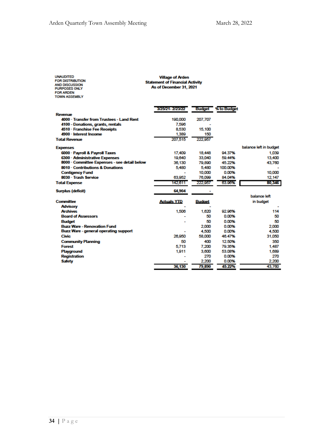| <b>UNAUDITED</b><br><b>FOR DISTRIBUTION</b><br><b>AND DISCUSSION</b><br><b>PURPOSES ONLY</b><br><b>FOR ARDEN</b><br><b>TOWN ASSEMBLY</b> | <b>Village of Arden</b><br><b>Statement of Financial Activity</b><br>As of December 31, 2021 |               |                           |                        |
|------------------------------------------------------------------------------------------------------------------------------------------|----------------------------------------------------------------------------------------------|---------------|---------------------------|------------------------|
|                                                                                                                                          | 3/25/21 - 2/23/22                                                                            |               | <b>Budget</b> % to Budget |                        |
| Revenue                                                                                                                                  |                                                                                              |               |                           |                        |
| 4000 · Transfer from Trustees - Land Rent                                                                                                | 190,000                                                                                      | 207.707       |                           |                        |
| 4100 - Donations, grants, rentals                                                                                                        | 7,596                                                                                        |               |                           |                        |
| 4510 · Franchise Fee Receipts                                                                                                            | 8,530                                                                                        | 15,100        |                           |                        |
| 4900 · Interest Income                                                                                                                   | 1.389                                                                                        | 150           |                           |                        |
| <b>Total Revenue</b>                                                                                                                     | 207,515                                                                                      | 222,957       |                           |                        |
| <b>Expenses</b>                                                                                                                          |                                                                                              |               |                           | balance left in budget |
| 6000 · Payroll & Payroll Taxes                                                                                                           | 17,409                                                                                       | 18,448        | 94.37%                    | 1.039                  |
| 6300 · Administrative Expenses                                                                                                           | 19.640                                                                                       | 33,040        | 59.44%                    | 13,400                 |
| 8000 · Committee Expenses - see detail below                                                                                             | 36,130                                                                                       | 79,890        | 45.22%                    | 43.760                 |
| 8010 - Contributions & Donations                                                                                                         | 5.480                                                                                        | 5.480         | 100.00%                   |                        |
| <b>Contigency Fund</b>                                                                                                                   |                                                                                              | 10,000        | 0.00%                     | 10,000                 |
| 8030 - Trash Service                                                                                                                     | 63,952                                                                                       | 76,099        | 84.04%                    | 12.147                 |
| <b>Total Expense</b>                                                                                                                     | 142.611                                                                                      | 222.957       | 63.96%                    | 80,346                 |
|                                                                                                                                          |                                                                                              |               |                           |                        |
| <b>Surplus (deficit)</b>                                                                                                                 | 64,904                                                                                       |               |                           |                        |
|                                                                                                                                          |                                                                                              |               |                           | balance left           |
| <b>Committee</b>                                                                                                                         | <b>Actuals YTD</b>                                                                           | <b>Budget</b> |                           | in budget              |
| <b>Advisory</b><br><b>Archives</b>                                                                                                       |                                                                                              |               |                           |                        |
| <b>Board of Assessors</b>                                                                                                                | 1.506                                                                                        | 1.620<br>50   | 92.96%<br>0.00%           | 114<br>50              |
|                                                                                                                                          |                                                                                              | 50            | 0.00%                     | 50                     |
| <b>Budget</b><br><b>Buzz Ware - Renovation Fund</b>                                                                                      |                                                                                              | 2,000         | 0.00%                     | 2.000                  |
| <b>Buzz Ware - general operating support</b>                                                                                             |                                                                                              | 4.500         | 0.00%                     | 4.500                  |
| <b>Civic</b>                                                                                                                             | 26,950                                                                                       | 58,000        | 46.47%                    | 31,050                 |
| <b>Community Planning</b>                                                                                                                | 50                                                                                           | 400           | 12.50%                    | 350                    |
| <b>Forest</b>                                                                                                                            | 5.713                                                                                        | 7.200         | 79.35%                    | 1.487                  |
| Playground                                                                                                                               | 1,911                                                                                        | 3,600         | 53.08%                    | 1,689                  |
| <b>Registration</b>                                                                                                                      |                                                                                              | 270           | 0.00%                     | 270                    |
| <b>Safety</b>                                                                                                                            |                                                                                              | 2,200         | 0.00%                     | 2,200                  |
|                                                                                                                                          | 36.130                                                                                       | 79,890        | 45.22%                    | 43,760                 |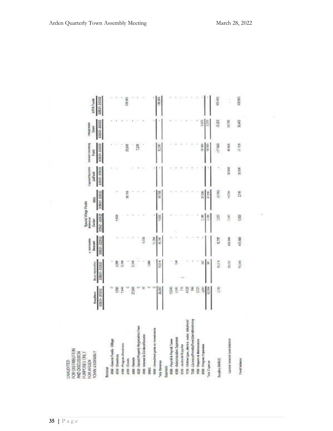| <b>DZZD</b><br>1/26/21-2021/22<br>Sec.c<br>0.320<br>89,786<br>30,465<br>27 705<br>50,000<br>(17800)<br>45505<br>10.00<br>29,000<br>7,200<br>32,200<br>30 000<br>2002<br>加观<br>18758<br>村湖<br>2749<br>27,930<br>10.758<br>27.550<br><b>TRRA</b><br>Ş<br>0.80<br>兰兰<br>2,000<br>t an<br>前六<br>16,787<br>408,800<br>475,683<br>5,022<br>NATIO<br>16.797<br>見返し<br>4,9%<br>10,5%<br>1000<br>ŝ<br>ð<br>50.1<br>2,00<br>2,154<br>20,727<br>ä<br>í<br>8<br>Ê<br>Ř<br>3/126<br>500<br>2445<br>36,093<br>15,040<br>2242<br>g<br>5<br>82,964<br>27,085<br>7060 - Liconses/Permits/Fees/AlarmMontecring<br>7020 - Utilities (gas, alectric, water, talkphone)<br>4520 - Vacant Property Registration Fees<br>9900 - Unwallond gains or investments<br><b>ISBO</b> · Interest & Dividend Income<br>8300 · Administrative Expenses<br>1000 - General Funds - Village<br>6000 - Payroll & Payroll Taxes<br>Garned Torward tune batance<br><b>700 - Repairs &amp; Maintenance</b><br>4100 - Program Dunatoms<br>800 - Program Experience<br>6510 Janikowid Supples<br><b>4t10 - Dosations</b><br><b>A400 - Rentalix</b><br>4300 - Grants<br>Surplus (Deficit)<br><b>Fund balance</b><br>Total Raymone<br>Total Experter<br>Expenses<br>Revenue<br>SMEC | FOR DISTRIBUTION<br>TOWN ASSENBLY<br>AND DISCUSSION<br>FURPOSES ONLY<br>FOR ARDEN<br>CINAUDITED | BuzzWare    | Buzz resewator | Washington<br>Bequest | <b>Special Village Funds</b><br>MARTIUTINE<br>Garden | 1851            | CapitalVitercont<br>paFund | Vacant Uwemng<br>Fund | suscellar.<br>Grant |
|-----------------------------------------------------------------------------------------------------------------------------------------------------------------------------------------------------------------------------------------------------------------------------------------------------------------------------------------------------------------------------------------------------------------------------------------------------------------------------------------------------------------------------------------------------------------------------------------------------------------------------------------------------------------------------------------------------------------------------------------------------------------------------------------------------------------------------------------------------------------------------------------------------------------------------------------------------------------------------------------------------------------------------------------------------------------------------------------------------------------------------------------------------------------------------------------------------------------------------------------|-------------------------------------------------------------------------------------------------|-------------|----------------|-----------------------|------------------------------------------------------|-----------------|----------------------------|-----------------------|---------------------|
|                                                                                                                                                                                                                                                                                                                                                                                                                                                                                                                                                                                                                                                                                                                                                                                                                                                                                                                                                                                                                                                                                                                                                                                                                                         |                                                                                                 | 22221-22222 | 375021-203022  | 826/21-223/22         | 3/25(2) - 2/25/22                                    | 3/26/21-2/20/22 | zzatek - Kask              | N2W1-22922            |                     |
|                                                                                                                                                                                                                                                                                                                                                                                                                                                                                                                                                                                                                                                                                                                                                                                                                                                                                                                                                                                                                                                                                                                                                                                                                                         |                                                                                                 |             |                |                       |                                                      |                 |                            |                       |                     |
|                                                                                                                                                                                                                                                                                                                                                                                                                                                                                                                                                                                                                                                                                                                                                                                                                                                                                                                                                                                                                                                                                                                                                                                                                                         |                                                                                                 |             |                |                       |                                                      |                 |                            |                       |                     |
|                                                                                                                                                                                                                                                                                                                                                                                                                                                                                                                                                                                                                                                                                                                                                                                                                                                                                                                                                                                                                                                                                                                                                                                                                                         |                                                                                                 |             |                |                       |                                                      |                 |                            |                       |                     |
|                                                                                                                                                                                                                                                                                                                                                                                                                                                                                                                                                                                                                                                                                                                                                                                                                                                                                                                                                                                                                                                                                                                                                                                                                                         |                                                                                                 |             |                |                       |                                                      |                 |                            |                       |                     |
|                                                                                                                                                                                                                                                                                                                                                                                                                                                                                                                                                                                                                                                                                                                                                                                                                                                                                                                                                                                                                                                                                                                                                                                                                                         |                                                                                                 |             |                |                       |                                                      |                 |                            |                       |                     |
|                                                                                                                                                                                                                                                                                                                                                                                                                                                                                                                                                                                                                                                                                                                                                                                                                                                                                                                                                                                                                                                                                                                                                                                                                                         |                                                                                                 |             |                |                       |                                                      |                 |                            |                       |                     |
|                                                                                                                                                                                                                                                                                                                                                                                                                                                                                                                                                                                                                                                                                                                                                                                                                                                                                                                                                                                                                                                                                                                                                                                                                                         |                                                                                                 |             |                |                       |                                                      |                 |                            |                       |                     |
|                                                                                                                                                                                                                                                                                                                                                                                                                                                                                                                                                                                                                                                                                                                                                                                                                                                                                                                                                                                                                                                                                                                                                                                                                                         |                                                                                                 |             |                |                       |                                                      |                 |                            |                       |                     |
|                                                                                                                                                                                                                                                                                                                                                                                                                                                                                                                                                                                                                                                                                                                                                                                                                                                                                                                                                                                                                                                                                                                                                                                                                                         |                                                                                                 |             |                |                       |                                                      |                 |                            |                       |                     |
|                                                                                                                                                                                                                                                                                                                                                                                                                                                                                                                                                                                                                                                                                                                                                                                                                                                                                                                                                                                                                                                                                                                                                                                                                                         |                                                                                                 |             |                |                       |                                                      |                 |                            |                       |                     |
|                                                                                                                                                                                                                                                                                                                                                                                                                                                                                                                                                                                                                                                                                                                                                                                                                                                                                                                                                                                                                                                                                                                                                                                                                                         |                                                                                                 |             |                |                       |                                                      |                 |                            |                       |                     |
|                                                                                                                                                                                                                                                                                                                                                                                                                                                                                                                                                                                                                                                                                                                                                                                                                                                                                                                                                                                                                                                                                                                                                                                                                                         |                                                                                                 |             |                |                       |                                                      |                 |                            |                       |                     |
|                                                                                                                                                                                                                                                                                                                                                                                                                                                                                                                                                                                                                                                                                                                                                                                                                                                                                                                                                                                                                                                                                                                                                                                                                                         |                                                                                                 |             |                |                       |                                                      |                 |                            |                       |                     |
|                                                                                                                                                                                                                                                                                                                                                                                                                                                                                                                                                                                                                                                                                                                                                                                                                                                                                                                                                                                                                                                                                                                                                                                                                                         |                                                                                                 |             |                |                       |                                                      |                 |                            |                       |                     |
|                                                                                                                                                                                                                                                                                                                                                                                                                                                                                                                                                                                                                                                                                                                                                                                                                                                                                                                                                                                                                                                                                                                                                                                                                                         |                                                                                                 |             |                |                       |                                                      |                 |                            |                       |                     |
|                                                                                                                                                                                                                                                                                                                                                                                                                                                                                                                                                                                                                                                                                                                                                                                                                                                                                                                                                                                                                                                                                                                                                                                                                                         |                                                                                                 |             |                |                       |                                                      |                 |                            |                       |                     |
|                                                                                                                                                                                                                                                                                                                                                                                                                                                                                                                                                                                                                                                                                                                                                                                                                                                                                                                                                                                                                                                                                                                                                                                                                                         |                                                                                                 |             |                |                       |                                                      |                 |                            |                       |                     |
|                                                                                                                                                                                                                                                                                                                                                                                                                                                                                                                                                                                                                                                                                                                                                                                                                                                                                                                                                                                                                                                                                                                                                                                                                                         |                                                                                                 |             |                |                       |                                                      |                 |                            |                       |                     |
|                                                                                                                                                                                                                                                                                                                                                                                                                                                                                                                                                                                                                                                                                                                                                                                                                                                                                                                                                                                                                                                                                                                                                                                                                                         |                                                                                                 |             |                |                       |                                                      |                 |                            |                       |                     |
|                                                                                                                                                                                                                                                                                                                                                                                                                                                                                                                                                                                                                                                                                                                                                                                                                                                                                                                                                                                                                                                                                                                                                                                                                                         |                                                                                                 |             |                |                       |                                                      |                 |                            |                       |                     |
|                                                                                                                                                                                                                                                                                                                                                                                                                                                                                                                                                                                                                                                                                                                                                                                                                                                                                                                                                                                                                                                                                                                                                                                                                                         |                                                                                                 |             |                |                       |                                                      |                 |                            |                       |                     |
|                                                                                                                                                                                                                                                                                                                                                                                                                                                                                                                                                                                                                                                                                                                                                                                                                                                                                                                                                                                                                                                                                                                                                                                                                                         |                                                                                                 |             |                |                       |                                                      |                 |                            |                       |                     |
|                                                                                                                                                                                                                                                                                                                                                                                                                                                                                                                                                                                                                                                                                                                                                                                                                                                                                                                                                                                                                                                                                                                                                                                                                                         |                                                                                                 |             |                |                       |                                                      |                 |                            |                       |                     |

 $\label{eq:3.1} \frac{p}{\pi} \left( \mathbf{r} \cdot \mathbf{r} \right) \left( \mathbf{r} \cdot \mathbf{r} \right)$ 

 $\begin{picture}(20,5) \put(0,0){\line(1,0){15}} \put(15,0){\line(1,0){15}} \put(15,0){\line(1,0){15}} \put(15,0){\line(1,0){15}} \put(15,0){\line(1,0){15}} \put(15,0){\line(1,0){15}} \put(15,0){\line(1,0){15}} \put(15,0){\line(1,0){15}} \put(15,0){\line(1,0){15}} \put(15,0){\line(1,0){15}} \put(15,0){\line(1,0){15}} \put(15,0){\line(1,$ 

 $\frac{100,000}{100,000}$ 

ARPA Funds<br>3/2621-2/2722

 $(100, 100)$ 

 $\lambda = 1$ 

 $109,503$ 

š,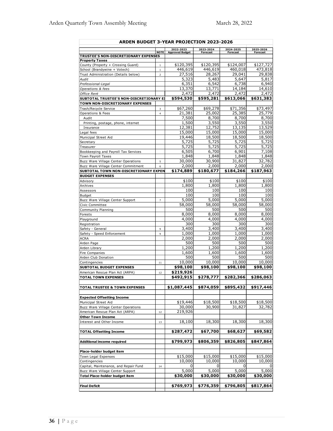| <b>ARDEN BUDGET 3-YEAR PROJECTION 2023-2026</b>                      |                              |                        |                      |                      |                      |  |  |
|----------------------------------------------------------------------|------------------------------|------------------------|----------------------|----------------------|----------------------|--|--|
|                                                                      |                              | 2022-2023              | 2023-2024            | 2024-2025            | 2025-2026            |  |  |
| TRUSTEE'S NON-DISCRETIONARY EXPENSES                                 | <b>NOTE</b>                  | <b>Approved Budget</b> | <b>Forecast</b>      | <b>Forecast</b>      | <b>Forecast</b>      |  |  |
| <b>Property Taxes</b>                                                |                              |                        |                      |                      |                      |  |  |
| County (Property + Crossing Guard)                                   | $\mathbf{1}$                 | \$120,395<br>446,619   | \$120,395<br>446,619 | \$124,007<br>460,018 | \$127,727<br>473,818 |  |  |
| School (Brandywine + Votech)<br>Trust Administration (Details below) | $1\,$<br>$\overline{2}$      | 27,516                 | 28,267               | 29,041               | 29,838               |  |  |
| Audit                                                                |                              | 5,323                  | 5,483                | 5,647                | 5,817                |  |  |
| Professional-Legal                                                   |                              | 6,351                  | 6,542                | 6,738                | 6,940                |  |  |
| Operations & fees                                                    |                              | 13,370                 | 13,771               | 14,184               | 14,610               |  |  |
| Office Rent                                                          |                              | 2,472                  | 2,472                | 2,472                | 2,472                |  |  |
| SUBTOTAL TRUSTEE'S NON-DISCRETIONARY EX                              |                              | \$594,530              | \$595,281            | \$613,066            | \$631,383            |  |  |
| <b>TOWN NON-DISCRETIONARY EXPENSES</b><br>Trash/Recycle Service      |                              | \$67,260               | \$69,278             | \$71,356             | \$73,497             |  |  |
| Operations & Fees                                                    | 3<br>$\overline{\mathbf{4}}$ | 21,381                 | 25,002               | 25,385               | 25,779               |  |  |
| Audit                                                                |                              | 7,500                  | 8,700                | 8,700                | 8,700                |  |  |
| Printing, postage, phone, internet                                   |                              | 1,500                  | 3,550                | 3,550                | 3,550                |  |  |
| Insurance                                                            |                              | 12,381                 | 12,752               | 13,135               | 13,529               |  |  |
| Legal fees                                                           |                              | 15,000                 | 15,000               | 15,000               | 15,000               |  |  |
| Municipal Street Aid                                                 |                              | 19,446                 | 18,500               | 18,500               | 18,500               |  |  |
| Secretary<br>Treasurer                                               |                              | 5,725<br>5,725         | 5,725<br>5,725       | 5,725<br>5,725       | 5,725<br>5,725       |  |  |
| Bookkeeping and Payroll Tax Services                                 |                              | 6,505                  | 6,700                | 6,901                | 7,108                |  |  |
| Town Payroll Taxes                                                   |                              | 1,848                  | 1,848                | 1,848                | 1,848                |  |  |
| Buzz Ware Village Center Operations                                  | 5                            | 30,000                 | 30,900               | 31,827               | 32,782               |  |  |
| Buzz Ware Village Center Commitment                                  | 6                            | 2,000                  | 2,000                | 2,000                | 2,000                |  |  |
| SUBTOTAL TOWN NON-DISCRETIONARY EXPEN                                |                              | \$174,889              | \$180,677            | \$184,266            | \$187,963            |  |  |
| <b>BUDGET EXPENSES</b>                                               |                              |                        |                      |                      |                      |  |  |
| Advisory                                                             |                              | \$100<br>1,800         | \$100                | \$100                | \$100                |  |  |
| Archives<br>Assessors                                                |                              | 100                    | 1,800<br>100         | 1,800<br>100         | 1,800<br>100         |  |  |
| <b>Budget</b>                                                        |                              | 100                    | 100                  | 100                  | 100                  |  |  |
| Buzz Ware Village Center Support                                     | 7                            | 5,000                  | 5,000                | 5,000                | 5,000                |  |  |
| Civic Committee                                                      |                              | 58,000                 | 58,000               | 58,000               | 58,000               |  |  |
| Community Planning                                                   |                              | 500                    | 500                  | 500                  | 500                  |  |  |
| Forests                                                              |                              | 8,000                  | 8,000                | 8,000                | 8,000                |  |  |
| Playground<br>Registration                                           |                              | 4,000<br>300           | 4,000<br>300         | 4,000<br>300         | 4,000<br>300         |  |  |
| Safety - General                                                     | 9                            | 3,400                  | 3,400                | 3,400                | 3,400                |  |  |
| Safety - Speed Enforcement                                           | $\overline{9}$               | 1,000                  | 1,000                | 1,000                | 1,000                |  |  |
| <b>ACRA</b>                                                          |                              | 2,000                  | 2,000                | 2,000                | 2,000                |  |  |
| Arden Page                                                           |                              | 500                    | 500                  | 500                  | 500                  |  |  |
| Arden Library                                                        |                              | 1,200                  | 1,200                | 1,200                | 1,200                |  |  |
| Fire Companies<br>Arden Club Donation                                |                              | 1,600<br>500           | 1,600<br>500         | 1,600<br>500         | 1,600<br>500         |  |  |
| Contingencies                                                        | $1\,1$                       | 10,000                 | 10,000               | 10,000               | 10,000               |  |  |
| <b>SUBTOTAL BUDGET EXPENSES</b>                                      |                              | \$98,100               | \$98,100             | \$98,100             | \$98,100             |  |  |
| American Rescue Plan Act (ARPA)                                      | 12                           | \$219,926              |                      |                      |                      |  |  |
| <b>TOTAL TOWN EXPENSES</b>                                           |                              | \$492,915              | \$278,777            | \$282,366            | \$286,063            |  |  |
|                                                                      |                              |                        |                      |                      |                      |  |  |
| <b>TOTAL TRUSTEE &amp; TOWN EXPENSES</b>                             |                              | \$1,087,445            | \$874,059            | \$895,432            | \$917,446            |  |  |
|                                                                      |                              |                        |                      |                      |                      |  |  |
| <b>Expected Offsetting Income</b><br>Municipal Street Aid            |                              | \$19,446               | \$18,500             | \$18,500             | \$18,500             |  |  |
| Buzz Ware Village Center Operations                                  |                              | 30,000                 | 30,900               | 31,827               | 32,782               |  |  |
| American Rescue Plan Act (ARPA)                                      | 12                           | 219,926                |                      |                      |                      |  |  |
| <b>Other Town Income</b>                                             |                              |                        |                      |                      |                      |  |  |
| Interest and Other Income                                            | 13                           | 18,100                 | 18,300               | 18,300               | 18,300               |  |  |
|                                                                      |                              |                        |                      |                      |                      |  |  |
| <b>TOTAL Offsetting Income</b>                                       |                              | \$287,472              | \$67,700             | \$68,627             | \$69,582             |  |  |
|                                                                      |                              |                        |                      |                      |                      |  |  |
| Additional income required                                           |                              | \$799,973              | \$806,359            | \$826,805            | \$847,864            |  |  |
| Place-holder budget item                                             |                              |                        |                      |                      |                      |  |  |
| Town Legal Expenses                                                  |                              | \$15,000               | \$15,000             | \$15,000             | \$15,000             |  |  |
| Contingencies                                                        |                              | 10,000                 | 10,000               | 10,000               | 10,000               |  |  |
| Capital, Maintenance, and Repair Fund                                | 14                           |                        |                      |                      |                      |  |  |
| Buzz Ware Village Center Support                                     |                              | 5,000                  | 5,000                | 5,000                | 5,000                |  |  |
| <b>Total Place-holder budget item</b>                                |                              | \$30,000               | \$30,000             | \$30,000             | \$30,000             |  |  |
|                                                                      |                              |                        |                      |                      |                      |  |  |
| <b>Final Deficit</b>                                                 |                              | \$769,973              | \$776,359            | \$796,805            | \$817,864            |  |  |